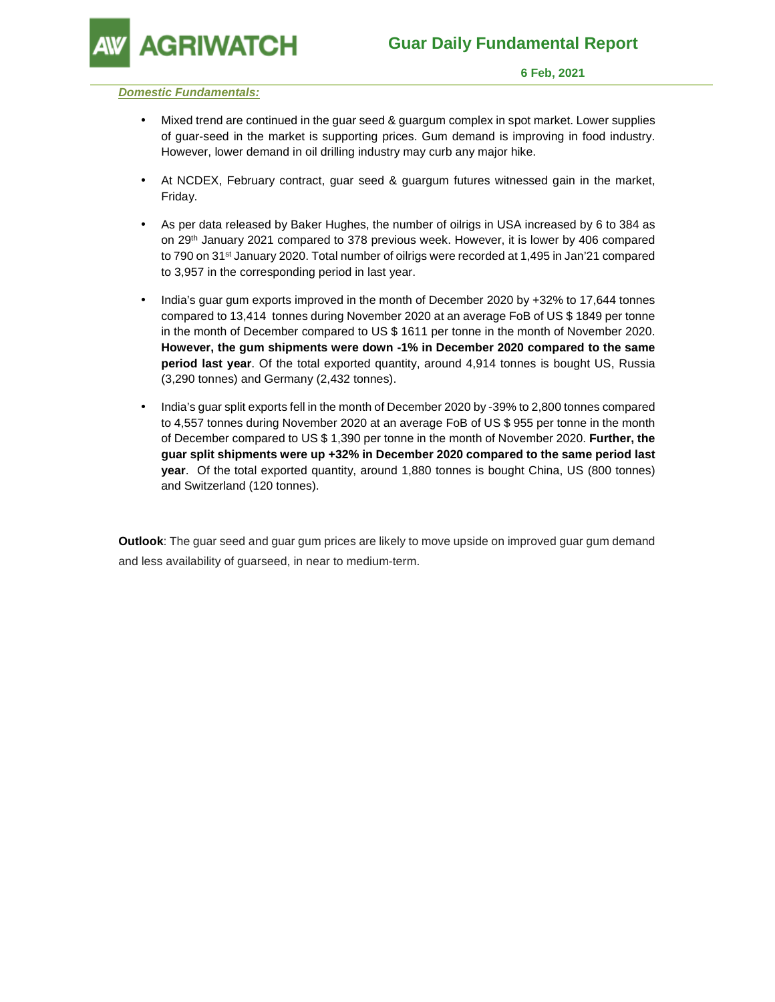**GRIWATCH** 

#### **Domestic Fundamentals:**

- Mixed trend are continued in the guar seed & guargum complex in spot market. Lower supplies of guar-seed in the market is supporting prices. Gum demand is improving in food industry. However, lower demand in oil drilling industry may curb any major hike.
- At NCDEX, February contract, guar seed & guargum futures witnessed gain in the market, Friday.
- As per data released by Baker Hughes, the number of oilrigs in USA increased by 6 to 384 as on 29th January 2021 compared to 378 previous week. However, it is lower by 406 compared to 790 on 31<sup>st</sup> January 2020. Total number of oilrigs were recorded at 1,495 in Jan'21 compared to 3,957 in the corresponding period in last year.
- India's guar gum exports improved in the month of December 2020 by +32% to 17,644 tonnes compared to 13,414 tonnes during November 2020 at an average FoB of US \$ 1849 per tonne in the month of December compared to US \$ 1611 per tonne in the month of November 2020. **However, the gum shipments were down -1% in December 2020 compared to the same period last year**. Of the total exported quantity, around 4,914 tonnes is bought US, Russia (3,290 tonnes) and Germany (2,432 tonnes).
- India's guar split exports fell in the month of December 2020 by -39% to 2,800 tonnes compared to 4,557 tonnes during November 2020 at an average FoB of US \$ 955 per tonne in the month of December compared to US \$ 1,390 per tonne in the month of November 2020. **Further, the guar split shipments were up +32% in December 2020 compared to the same period last year**. Of the total exported quantity, around 1,880 tonnes is bought China, US (800 tonnes) and Switzerland (120 tonnes).

**Outlook**: The guar seed and guar gum prices are likely to move upside on improved guar gum demand and less availability of guarseed, in near to medium-term.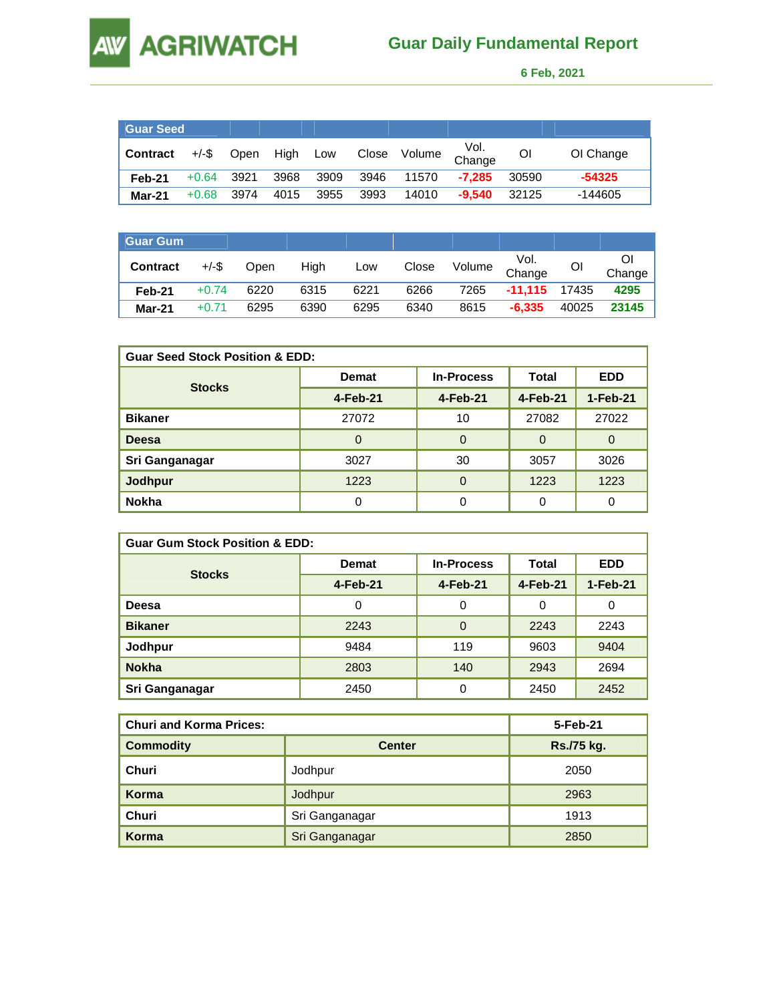# **AW AGRIWATCH**

## **Guar Daily Fundamental Report**

 **6 Feb, 2021** 

| <b>Guar Seed</b> |          |      |      |      |       |        |                |       |           |
|------------------|----------|------|------|------|-------|--------|----------------|-------|-----------|
| <b>Contract</b>  | $+/-$ \$ | Open | High | Low  | Close | Volume | Vol.<br>Change | ΟI    | OI Change |
| Feb-21           | $+0.64$  | 3921 | 3968 | 3909 | 3946  | 11570  | $-7.285$       | 30590 | $-54325$  |
| Mar-21           | $+0.68$  | 3974 | 4015 | 3955 | 3993  | 14010  | $-9.540$       | 32125 | $-144605$ |

| Guar Gum        |          |      |      |      |       |        |                |       |        |
|-----------------|----------|------|------|------|-------|--------|----------------|-------|--------|
| <b>Contract</b> | $+/-$ \$ | Open | High | Low  | Close | Volume | Vol.<br>Change | ΟI    | Change |
| Feb-21          | $+0.74$  | 6220 | 6315 | 6221 | 6266  | 7265   | $-11.115$      | 17435 | 4295   |
| Mar-21          | +0.71    | 6295 | 6390 | 6295 | 6340  | 8615   | $-6.335$       | 40025 | 23145  |

| <b>Guar Seed Stock Position &amp; EDD:</b> |              |                   |          |            |  |  |  |
|--------------------------------------------|--------------|-------------------|----------|------------|--|--|--|
|                                            | <b>Demat</b> | <b>In-Process</b> | Total    | <b>EDD</b> |  |  |  |
| <b>Stocks</b>                              | $4-Feb-21$   | 4-Feb-21          | 4-Feb-21 | 1-Feb-21   |  |  |  |
| <b>Bikaner</b>                             | 27072        | 10                | 27082    | 27022      |  |  |  |
| Deesa                                      | $\Omega$     | 0                 | $\Omega$ | $\Omega$   |  |  |  |
| Sri Ganganagar                             | 3027         | 30                | 3057     | 3026       |  |  |  |
| <b>Jodhpur</b>                             | 1223         | 0                 | 1223     | 1223       |  |  |  |
| <b>Nokha</b>                               | 0            | 0                 | 0        | 0          |  |  |  |

| <b>Guar Gum Stock Position &amp; EDD:</b> |              |                   |          |            |  |  |  |
|-------------------------------------------|--------------|-------------------|----------|------------|--|--|--|
|                                           | <b>Demat</b> | <b>In-Process</b> | Total    | <b>EDD</b> |  |  |  |
| <b>Stocks</b>                             | 4-Feb-21     | 4-Feb-21          | 4-Feb-21 | $1-Feb-21$ |  |  |  |
| Deesa                                     | 0            | 0                 | 0        | 0          |  |  |  |
| <b>Bikaner</b>                            | 2243         | $\Omega$          | 2243     | 2243       |  |  |  |
| Jodhpur                                   | 9484         | 119               | 9603     | 9404       |  |  |  |
| <b>Nokha</b>                              | 2803         | 140               | 2943     | 2694       |  |  |  |
| Sri Ganganagar                            | 2450         | 0                 | 2450     | 2452       |  |  |  |

| <b>Churi and Korma Prices:</b> |                | 5-Feb-21   |
|--------------------------------|----------------|------------|
| <b>Commodity</b>               | <b>Center</b>  | Rs./75 kg. |
| Churi                          | Jodhpur        | 2050       |
| Korma                          | Jodhpur        | 2963       |
| Churi                          | Sri Ganganagar | 1913       |
| Korma                          | Sri Ganganagar | 2850       |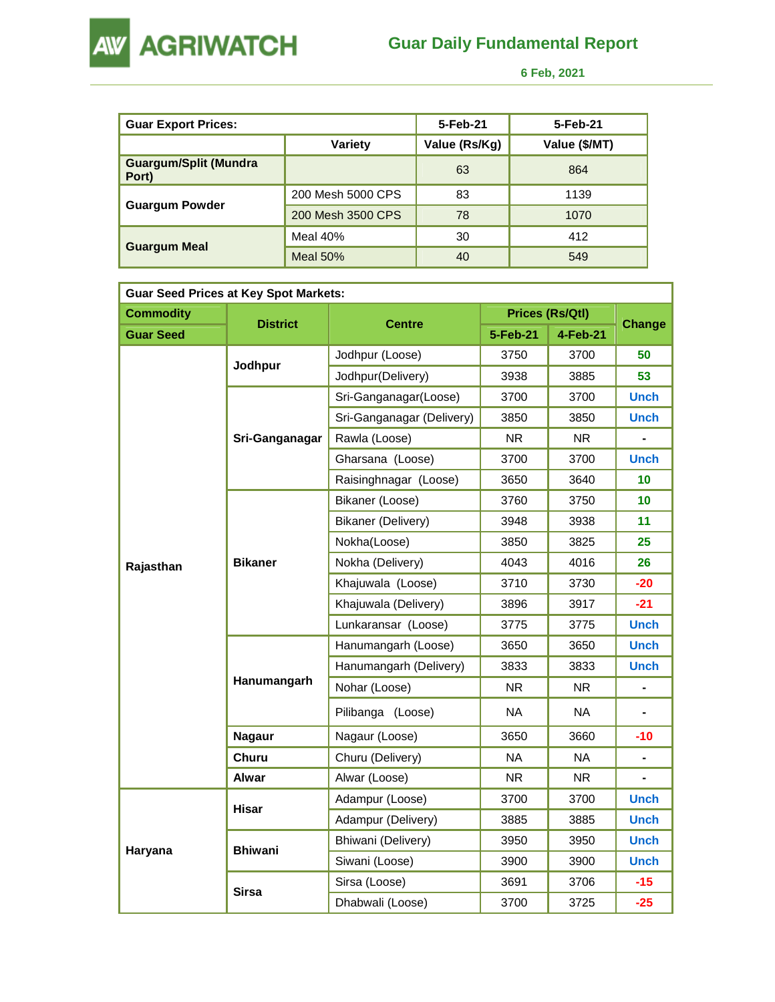

 **6 Feb, 2021** 

| <b>Guar Export Prices:</b>            |                   | 5-Feb-21      | 5-Feb-21      |
|---------------------------------------|-------------------|---------------|---------------|
|                                       | Variety           | Value (Rs/Kg) | Value (\$/MT) |
| <b>Guargum/Split (Mundra</b><br>Port) |                   | 63            | 864           |
|                                       | 200 Mesh 5000 CPS | 83            | 1139          |
| <b>Guargum Powder</b>                 | 200 Mesh 3500 CPS | 78            | 1070          |
|                                       | Meal 40%          | 30            | 412           |
| <b>Guargum Meal</b>                   | Meal $50\%$       | 40            | 549           |

| <b>Guar Seed Prices at Key Spot Markets:</b> |                 |                           |                        |           |                |  |  |  |
|----------------------------------------------|-----------------|---------------------------|------------------------|-----------|----------------|--|--|--|
| <b>Commodity</b>                             | <b>District</b> | <b>Centre</b>             | <b>Prices (Rs/Qtl)</b> | Change    |                |  |  |  |
| <b>Guar Seed</b>                             |                 |                           | 5-Feb-21               | 4-Feb-21  |                |  |  |  |
|                                              |                 | Jodhpur (Loose)           | 3750                   | 3700      | 50             |  |  |  |
|                                              | Jodhpur         | Jodhpur(Delivery)         | 3938                   | 3885      | 53             |  |  |  |
|                                              |                 | Sri-Ganganagar(Loose)     | 3700                   | 3700      | <b>Unch</b>    |  |  |  |
|                                              |                 | Sri-Ganganagar (Delivery) | 3850                   | 3850      | <b>Unch</b>    |  |  |  |
|                                              | Sri-Ganganagar  | Rawla (Loose)             | <b>NR</b>              | <b>NR</b> |                |  |  |  |
|                                              |                 | Gharsana (Loose)          | 3700                   | 3700      | <b>Unch</b>    |  |  |  |
|                                              |                 | Raisinghnagar (Loose)     | 3650                   | 3640      | 10             |  |  |  |
|                                              |                 | Bikaner (Loose)           | 3760                   | 3750      | 10             |  |  |  |
|                                              |                 | Bikaner (Delivery)        | 3948                   | 3938      | 11             |  |  |  |
|                                              | <b>Bikaner</b>  | Nokha(Loose)              | 3850                   | 3825      | 25             |  |  |  |
| Rajasthan                                    |                 | Nokha (Delivery)          | 4043                   | 4016      | 26             |  |  |  |
|                                              |                 | Khajuwala (Loose)         | 3710                   | 3730      | $-20$          |  |  |  |
|                                              |                 | Khajuwala (Delivery)      | 3896                   | 3917      | $-21$          |  |  |  |
|                                              |                 | Lunkaransar (Loose)       | 3775                   | 3775      | <b>Unch</b>    |  |  |  |
|                                              | Hanumangarh     | Hanumangarh (Loose)       | 3650                   | 3650      | <b>Unch</b>    |  |  |  |
|                                              |                 | Hanumangarh (Delivery)    | 3833                   | 3833      | <b>Unch</b>    |  |  |  |
|                                              |                 | Nohar (Loose)             | <b>NR</b>              | <b>NR</b> | ÷,             |  |  |  |
|                                              |                 | Pilibanga (Loose)         | <b>NA</b>              | <b>NA</b> |                |  |  |  |
|                                              | <b>Nagaur</b>   | Nagaur (Loose)            | 3650                   | 3660      | -10            |  |  |  |
|                                              | Churu           | Churu (Delivery)          | <b>NA</b>              | <b>NA</b> |                |  |  |  |
|                                              | Alwar           | Alwar (Loose)             | <b>NR</b>              | <b>NR</b> | $\blacksquare$ |  |  |  |
|                                              | <b>Hisar</b>    | Adampur (Loose)           | 3700                   | 3700      | <b>Unch</b>    |  |  |  |
|                                              |                 | Adampur (Delivery)        | 3885                   | 3885      | <b>Unch</b>    |  |  |  |
|                                              | <b>Bhiwani</b>  | Bhiwani (Delivery)        | 3950                   | 3950      | <b>Unch</b>    |  |  |  |
| Haryana                                      |                 | Siwani (Loose)            | 3900                   | 3900      | <b>Unch</b>    |  |  |  |
|                                              | <b>Sirsa</b>    | Sirsa (Loose)             | 3691                   | 3706      | $-15$          |  |  |  |
|                                              |                 | Dhabwali (Loose)          | 3700                   | 3725      | $-25$          |  |  |  |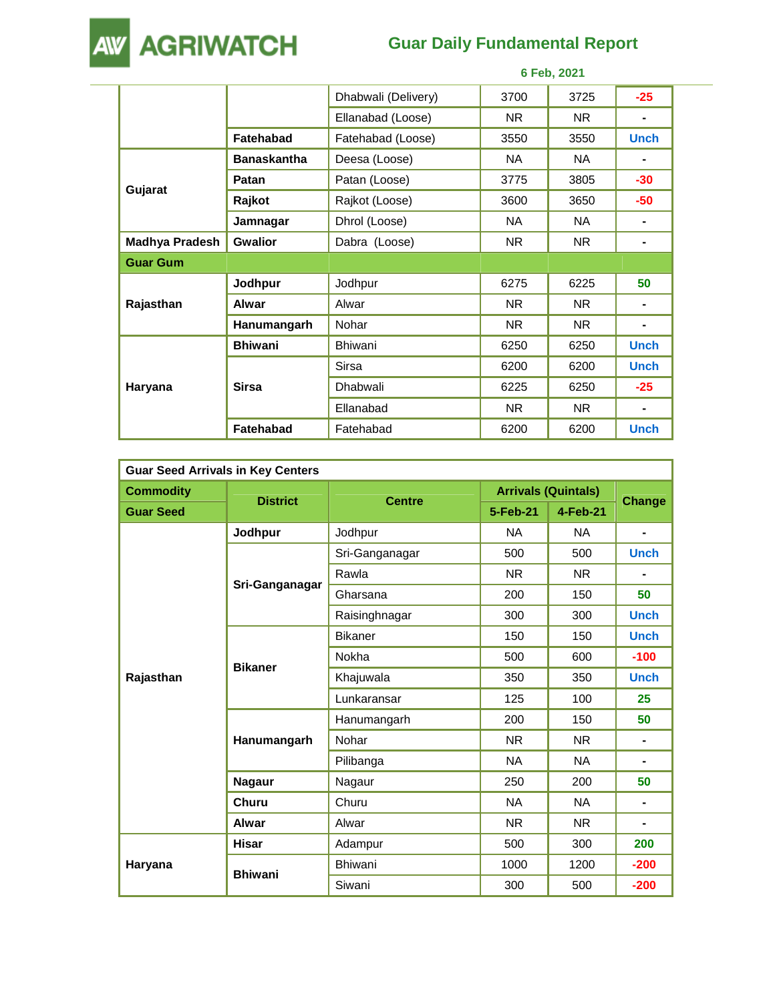**AW AGRIWATCH** 

## **Guar Daily Fundamental Report**

|                 | 6 Feb, 2021        |                     |      |      |             |
|-----------------|--------------------|---------------------|------|------|-------------|
|                 |                    | Dhabwali (Delivery) | 3700 | 3725 | $-25$       |
|                 |                    | Ellanabad (Loose)   | NR.  | NR.  | ٠           |
|                 | Fatehabad          | Fatehabad (Loose)   | 3550 | 3550 | <b>Unch</b> |
|                 | <b>Banaskantha</b> | Deesa (Loose)       | NA.  | NA.  | ۰           |
|                 | Patan              | Patan (Loose)       | 3775 | 3805 | $-30$       |
| Gujarat         | Rajkot             | Rajkot (Loose)      | 3600 | 3650 | -50         |
|                 | Jamnagar           | Dhrol (Loose)       | NA.  | NA.  | ۰           |
| Madhya Pradesh  | <b>Gwalior</b>     | Dabra (Loose)       | NR.  | NR.  | ۰           |
| <b>Guar Gum</b> |                    |                     |      |      |             |
|                 | Jodhpur            | Jodhpur             | 6275 | 6225 | 50          |
| Rajasthan       | Alwar              | Alwar               | NR.  | NR.  | ۰           |
|                 | Hanumangarh        | Nohar               | NR.  | NR.  | ۰           |
|                 | <b>Bhiwani</b>     | <b>Bhiwani</b>      | 6250 | 6250 | <b>Unch</b> |
| Haryana         |                    | Sirsa               | 6200 | 6200 | <b>Unch</b> |
|                 | <b>Sirsa</b>       | Dhabwali            | 6225 | 6250 | $-25$       |
|                 |                    | Ellanabad           | NR.  | NR.  | ٠           |
|                 | <b>Fatehabad</b>   | Fatehabad           | 6200 | 6200 | <b>Unch</b> |

| <b>Guar Seed Arrivals in Key Centers</b> |                 |                |                            |           |                |  |  |
|------------------------------------------|-----------------|----------------|----------------------------|-----------|----------------|--|--|
| <b>Commodity</b>                         |                 |                | <b>Arrivals (Quintals)</b> |           |                |  |  |
| <b>Guar Seed</b>                         | <b>District</b> | <b>Centre</b>  | 5-Feb-21                   | 4-Feb-21  | <b>Change</b>  |  |  |
|                                          | Jodhpur         | Jodhpur        | <b>NA</b>                  | <b>NA</b> | ٠              |  |  |
|                                          |                 | Sri-Ganganagar | 500                        | 500       | <b>Unch</b>    |  |  |
|                                          |                 | Rawla          | <b>NR</b>                  | <b>NR</b> |                |  |  |
|                                          | Sri-Ganganagar  | Gharsana       | 200                        | 150       | 50             |  |  |
|                                          |                 | Raisinghnagar  | 300                        | 300       | <b>Unch</b>    |  |  |
| Rajasthan                                | <b>Bikaner</b>  | <b>Bikaner</b> | 150                        | 150       | <b>Unch</b>    |  |  |
|                                          |                 | Nokha          | 500                        | 600       | $-100$         |  |  |
|                                          |                 | Khajuwala      | 350                        | 350       | <b>Unch</b>    |  |  |
|                                          |                 | Lunkaransar    | 125                        | 100       | 25             |  |  |
|                                          |                 | Hanumangarh    | 200                        | 150       | 50             |  |  |
|                                          | Hanumangarh     | Nohar          | <b>NR</b>                  | <b>NR</b> | ۰              |  |  |
|                                          |                 | Pilibanga      | <b>NA</b>                  | <b>NA</b> | ۰              |  |  |
|                                          | <b>Nagaur</b>   | Nagaur         | 250                        | 200       | 50             |  |  |
|                                          | Churu           | Churu          | <b>NA</b>                  | <b>NA</b> | ۰              |  |  |
|                                          | <b>Alwar</b>    | Alwar          | <b>NR</b>                  | NR.       | $\blacksquare$ |  |  |
|                                          | <b>Hisar</b>    | Adampur        | 500                        | 300       | 200            |  |  |
| Haryana                                  |                 | <b>Bhiwani</b> | 1000                       | 1200      | $-200$         |  |  |
|                                          | <b>Bhiwani</b>  | Siwani         | 300                        | 500       | $-200$         |  |  |